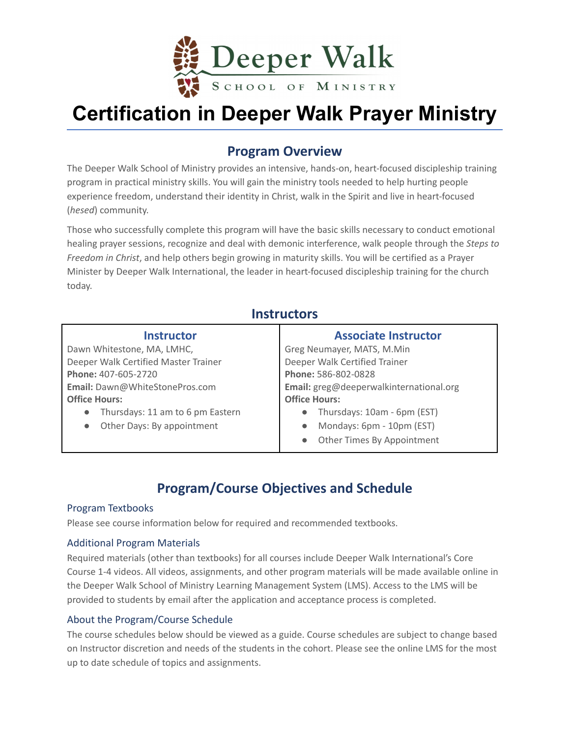

# **Certification in Deeper Walk Prayer Ministry**

# **Program Overview**

The Deeper Walk School of Ministry provides an intensive, hands-on, heart-focused discipleship training program in practical ministry skills. You will gain the ministry tools needed to help hurting people experience freedom, understand their identity in Christ, walk in the Spirit and live in heart-focused (*hesed*) community.

Those who successfully complete this program will have the basic skills necessary to conduct emotional healing prayer sessions, recognize and deal with demonic interference, walk people through the *Steps to Freedom in Christ*, and help others begin growing in maturity skills. You will be certified as a Prayer Minister by Deeper Walk International, the leader in heart-focused discipleship training for the church today.

### **Instructors**

| <b>Instructor</b>                                        | <b>Associate Instructor</b>              |  |
|----------------------------------------------------------|------------------------------------------|--|
| Dawn Whitestone, MA, LMHC,<br>Greg Neumayer, MATS, M.Min |                                          |  |
| Deeper Walk Certified Master Trainer                     | Deeper Walk Certified Trainer            |  |
| Phone: 407-605-2720                                      | Phone: 586-802-0828                      |  |
| Email: Dawn@WhiteStonePros.com                           | Email: greg@deeperwalkinternational.org  |  |
| <b>Office Hours:</b>                                     | <b>Office Hours:</b>                     |  |
| Thursdays: 11 am to 6 pm Eastern<br>$\bullet$            | Thursdays: 10am - 6pm (EST)<br>$\bullet$ |  |
| Other Days: By appointment<br>$\bullet$                  | Mondays: 6pm - 10pm (EST)<br>$\bullet$   |  |
|                                                          | Other Times By Appointment<br>$\bullet$  |  |

# **Program/Course Objectives and Schedule**

#### Program Textbooks

Please see course information below for required and recommended textbooks.

#### Additional Program Materials

Required materials (other than textbooks) for all courses include Deeper Walk International's Core Course 1-4 videos. All videos, assignments, and other program materials will be made available online in the Deeper Walk School of Ministry Learning Management System (LMS). Access to the LMS will be provided to students by email after the application and acceptance process is completed.

#### About the Program/Course Schedule

The course schedules below should be viewed as a guide. Course schedules are subject to change based on Instructor discretion and needs of the students in the cohort. Please see the online LMS for the most up to date schedule of topics and assignments.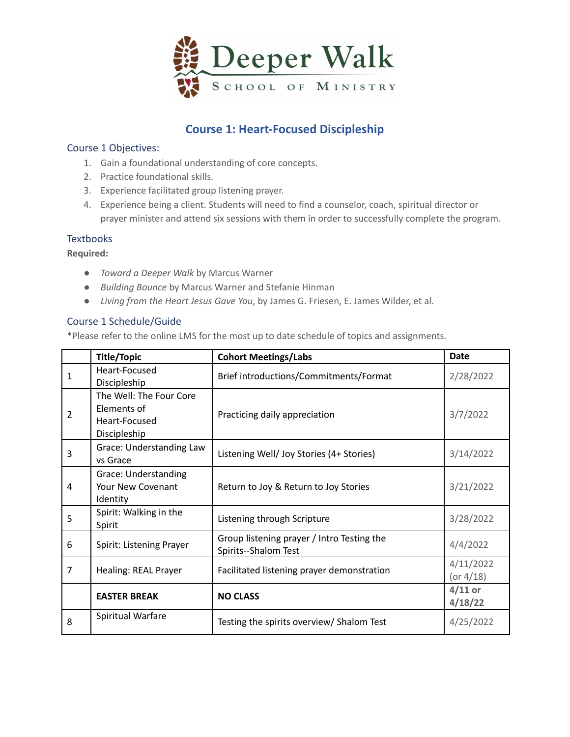

## **Course 1: Heart-Focused Discipleship**

#### Course 1 Objectives:

- 1. Gain a foundational understanding of core concepts.
- 2. Practice foundational skills.
- 3. Experience facilitated group listening prayer.
- 4. Experience being a client. Students will need to find a counselor, coach, spiritual director or prayer minister and attend six sessions with them in order to successfully complete the program.

#### **Textbooks**

**Required:**

- *Toward a Deeper Walk* by Marcus Warner
- *Building Bounce* by Marcus Warner and Stefanie Hinman
- *Living from the Heart Jesus Gave You*, by James G. Friesen, E. James Wilder, et al.

#### Course 1 Schedule/Guide

|                | <b>Title/Topic</b>                                                      | <b>Cohort Meetings/Labs</b>                                        | <b>Date</b>               |
|----------------|-------------------------------------------------------------------------|--------------------------------------------------------------------|---------------------------|
| 1              | Heart-Focused<br>Discipleship                                           | Brief introductions/Commitments/Format                             | 2/28/2022                 |
| 2              | The Well: The Four Core<br>Elements of<br>Heart-Focused<br>Discipleship | Practicing daily appreciation                                      | 3/7/2022                  |
| 3              | Grace: Understanding Law<br>vs Grace                                    | Listening Well/ Joy Stories (4+ Stories)                           | 3/14/2022                 |
| 4              | Grace: Understanding<br>Your New Covenant<br>Identity                   | Return to Joy & Return to Joy Stories                              | 3/21/2022                 |
| 5              | Spirit: Walking in the<br>Spirit                                        | Listening through Scripture                                        | 3/28/2022                 |
| 6              | Spirit: Listening Prayer                                                | Group listening prayer / Intro Testing the<br>Spirits--Shalom Test | 4/4/2022                  |
| $\overline{7}$ | Healing: REAL Prayer                                                    | Facilitated listening prayer demonstration                         | 4/11/2022<br>(or $4/18$ ) |
|                | <b>EASTER BREAK</b>                                                     | <b>NO CLASS</b>                                                    | $4/11$ or<br>4/18/22      |
| 8              | Spiritual Warfare                                                       | Testing the spirits overview/ Shalom Test                          | 4/25/2022                 |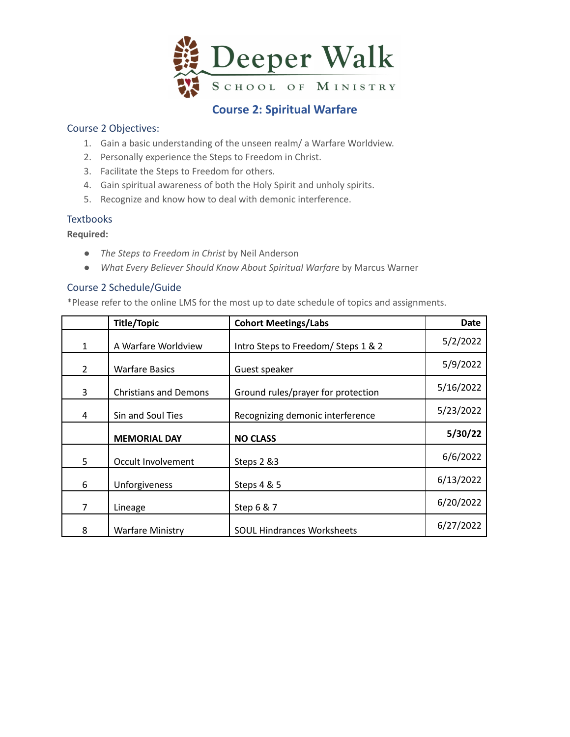

### **Course 2: Spiritual Warfare**

#### Course 2 Objectives:

- 1. Gain a basic understanding of the unseen realm/ a Warfare Worldview.
- 2. Personally experience the Steps to Freedom in Christ.
- 3. Facilitate the Steps to Freedom for others.
- 4. Gain spiritual awareness of both the Holy Spirit and unholy spirits.
- 5. Recognize and know how to deal with demonic interference.

#### **Textbooks**

**Required:**

- *The Steps to Freedom in Christ* by Neil Anderson
- *What Every Believer Should Know About Spiritual Warfare* by Marcus Warner

#### Course 2 Schedule/Guide

|                | <b>Title/Topic</b>           | <b>Cohort Meetings/Labs</b>         | <b>Date</b> |
|----------------|------------------------------|-------------------------------------|-------------|
| 1              | A Warfare Worldview          | Intro Steps to Freedom/ Steps 1 & 2 | 5/2/2022    |
| $\overline{2}$ | <b>Warfare Basics</b>        | Guest speaker                       | 5/9/2022    |
| 3              | <b>Christians and Demons</b> | Ground rules/prayer for protection  | 5/16/2022   |
| 4              | Sin and Soul Ties            | Recognizing demonic interference    | 5/23/2022   |
|                | <b>MEMORIAL DAY</b>          | <b>NO CLASS</b>                     | 5/30/22     |
| 5              | Occult Involvement           | Steps 2 &3                          | 6/6/2022    |
| 6              | Unforgiveness                | Steps 4 & 5                         | 6/13/2022   |
| 7              | Lineage                      | Step 6 & 7                          | 6/20/2022   |
| 8              | <b>Warfare Ministry</b>      | <b>SOUL Hindrances Worksheets</b>   | 6/27/2022   |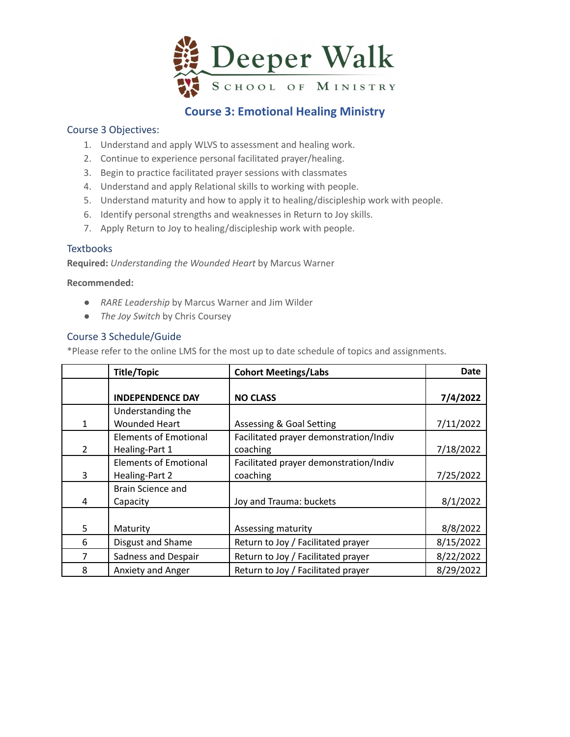

### **Course 3: Emotional Healing Ministry**

#### Course 3 Objectives:

- 1. Understand and apply WLVS to assessment and healing work.
- 2. Continue to experience personal facilitated prayer/healing.
- 3. Begin to practice facilitated prayer sessions with classmates
- 4. Understand and apply Relational skills to working with people.
- 5. Understand maturity and how to apply it to healing/discipleship work with people.
- 6. Identify personal strengths and weaknesses in Return to Joy skills.
- 7. Apply Return to Joy to healing/discipleship work with people.

#### **Textbooks**

**Required:** *Understanding the Wounded Heart* by Marcus Warner

#### **Recommended:**

- *RARE Leadership* by Marcus Warner and Jim Wilder
- *The Joy Switch* by Chris Coursey

#### Course 3 Schedule/Guide

|                | <b>Title/Topic</b>                             | <b>Cohort Meetings/Labs</b>                        | <b>Date</b> |
|----------------|------------------------------------------------|----------------------------------------------------|-------------|
|                | <b>INDEPENDENCE DAY</b>                        | <b>NO CLASS</b>                                    | 7/4/2022    |
| 1              | Understanding the<br><b>Wounded Heart</b>      | <b>Assessing &amp; Goal Setting</b>                | 7/11/2022   |
| $\overline{2}$ | <b>Elements of Emotional</b><br>Healing-Part 1 | Facilitated prayer demonstration/Indiv<br>coaching | 7/18/2022   |
| 3              | <b>Elements of Emotional</b><br>Healing-Part 2 | Facilitated prayer demonstration/Indiv<br>coaching | 7/25/2022   |
| 4              | Brain Science and<br>Capacity                  | Joy and Trauma: buckets                            | 8/1/2022    |
| 5.             | Maturity                                       | Assessing maturity                                 | 8/8/2022    |
| 6              | Disgust and Shame                              | Return to Joy / Facilitated prayer                 | 8/15/2022   |
| 7              | Sadness and Despair                            | Return to Joy / Facilitated prayer                 | 8/22/2022   |
| 8              | Anxiety and Anger                              | Return to Joy / Facilitated prayer                 | 8/29/2022   |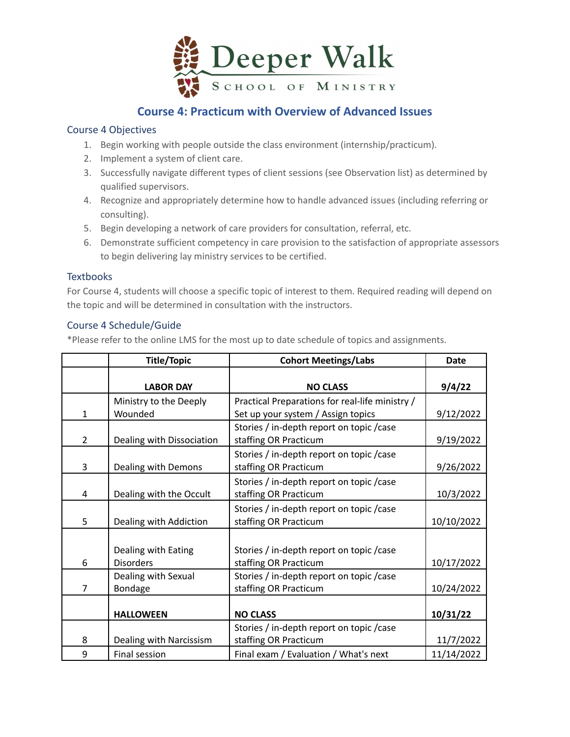

### **Course 4: Practicum with Overview of Advanced Issues**

#### Course 4 Objectives

- 1. Begin working with people outside the class environment (internship/practicum).
- 2. Implement a system of client care.
- 3. Successfully navigate different types of client sessions (see Observation list) as determined by qualified supervisors.
- 4. Recognize and appropriately determine how to handle advanced issues (including referring or consulting).
- 5. Begin developing a network of care providers for consultation, referral, etc.
- 6. Demonstrate sufficient competency in care provision to the satisfaction of appropriate assessors to begin delivering lay ministry services to be certified.

#### **Textbooks**

For Course 4, students will choose a specific topic of interest to them. Required reading will depend on the topic and will be determined in consultation with the instructors.

#### Course 4 Schedule/Guide

|                | <b>Title/Topic</b>                      | <b>Cohort Meetings/Labs</b>                                                           | <b>Date</b> |
|----------------|-----------------------------------------|---------------------------------------------------------------------------------------|-------------|
|                | <b>LABOR DAY</b>                        | <b>NO CLASS</b>                                                                       | 9/4/22      |
| 1              | Ministry to the Deeply<br>Wounded       | Practical Preparations for real-life ministry /<br>Set up your system / Assign topics | 9/12/2022   |
| $\overline{2}$ | Dealing with Dissociation               | Stories / in-depth report on topic / case<br>staffing OR Practicum                    | 9/19/2022   |
| 3              | Dealing with Demons                     | Stories / in-depth report on topic / case<br>staffing OR Practicum                    | 9/26/2022   |
| 4              | Dealing with the Occult                 | Stories / in-depth report on topic / case<br>staffing OR Practicum                    | 10/3/2022   |
| 5              | Dealing with Addiction                  | Stories / in-depth report on topic / case<br>staffing OR Practicum                    | 10/10/2022  |
| 6              | Dealing with Eating<br><b>Disorders</b> | Stories / in-depth report on topic / case<br>staffing OR Practicum                    | 10/17/2022  |
| 7              | Dealing with Sexual<br>Bondage          | Stories / in-depth report on topic / case<br>staffing OR Practicum                    | 10/24/2022  |
|                | <b>HALLOWEEN</b>                        | <b>NO CLASS</b>                                                                       | 10/31/22    |
| 8              | Dealing with Narcissism                 | Stories / in-depth report on topic / case<br>staffing OR Practicum                    | 11/7/2022   |
| 9              | Final session                           | Final exam / Evaluation / What's next                                                 | 11/14/2022  |